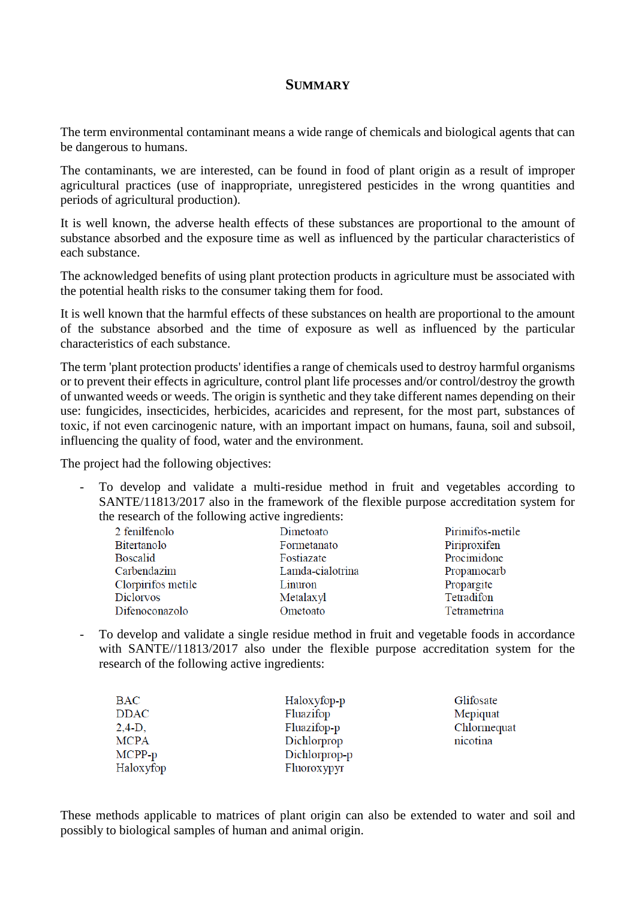## **SUMMARY**

The term environmental contaminant means a wide range of chemicals and biological agents that can be dangerous to humans.

The contaminants, we are interested, can be found in food of plant origin as a result of improper agricultural practices (use of inappropriate, unregistered pesticides in the wrong quantities and periods of agricultural production).

It is well known, the adverse health effects of these substances are proportional to the amount of substance absorbed and the exposure time as well as influenced by the particular characteristics of each substance.

The acknowledged benefits of using plant protection products in agriculture must be associated with the potential health risks to the consumer taking them for food.

It is well known that the harmful effects of these substances on health are proportional to the amount of the substance absorbed and the time of exposure as well as influenced by the particular characteristics of each substance.

The term 'plant protection products' identifies a range of chemicals used to destroy harmful organisms or to prevent their effects in agriculture, control plant life processes and/or control/destroy the growth of unwanted weeds or weeds. The origin is synthetic and they take different names depending on their use: fungicides, insecticides, herbicides, acaricides and represent, for the most part, substances of toxic, if not even carcinogenic nature, with an important impact on humans, fauna, soil and subsoil, influencing the quality of food, water and the environment.

The project had the following objectives:

- To develop and validate a multi-residue method in fruit and vegetables according to SANTE/11813/2017 also in the framework of the flexible purpose accreditation system for the research of the following active ingredients:

| 2 fenilfenolo      | Dimetoato        | Pirimifos-metile |
|--------------------|------------------|------------------|
| Bitertanolo        | Formetanato      | Piriproxifen     |
| <b>Boscalid</b>    | Fostiazate       | Procimidone      |
| Carbendazim        | Lamda-cialotrina | Propamocarb      |
| Clorpirifos metile | Linuron          | Propargite       |
| Diclorvos          | Metalaxyl        | Tetradifon       |
| Difenoconazolo     | Ometoato         | Tetrametrina     |
|                    |                  |                  |

To develop and validate a single residue method in fruit and vegetable foods in accordance with SANTE//11813/2017 also under the flexible purpose accreditation system for the research of the following active ingredients:

| BAC         | Haloxyfop-p   | Glifosate   |
|-------------|---------------|-------------|
| <b>DDAC</b> | Fluazifop     | Mepiquat    |
| $2,4-D,$    | Fluazifop-p   | Chlormequat |
| <b>MCPA</b> | Dichlorprop   | nicotina    |
| MCPP-p      | Dichlorprop-p |             |
| Haloxyfop   | Fluoroxypyr   |             |

These methods applicable to matrices of plant origin can also be extended to water and soil and possibly to biological samples of human and animal origin.